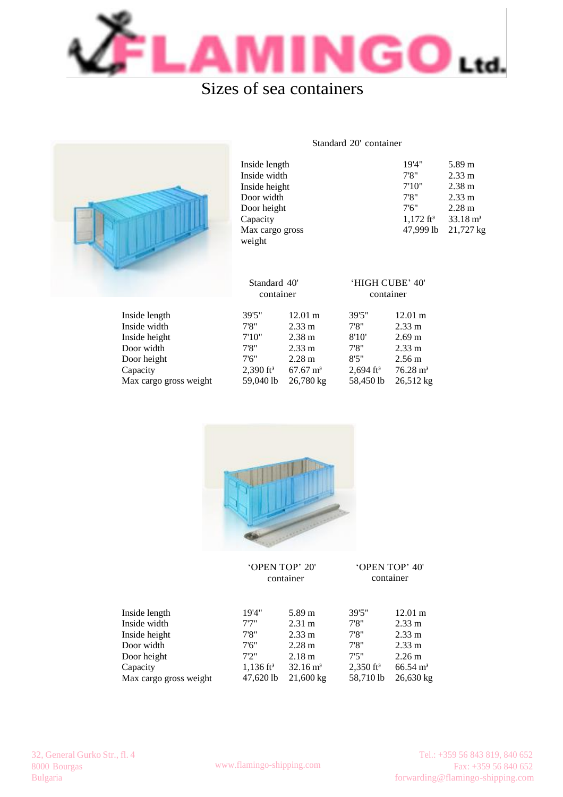

## Sizes of sea containers



| Inside length   | 19'4"                | 5.89 m              |
|-----------------|----------------------|---------------------|
| Inside width    | 7'8''                | $2.33 \text{ m}$    |
| Inside height   | 7'10"                | $2.38 \text{ m}$    |
| Door width      | 7'8''                | $2.33 \text{ m}$    |
| Door height     | 7'6''                | $2.28 \text{ m}$    |
| Capacity        | $1,172 \text{ ft}^3$ | $33.18 \text{ m}^3$ |
| Max cargo gross | 47,999 lb            | 21,727 kg           |
| weight          |                      |                     |

Standard 20' container

|                        | Standard 40'<br>container |                     | 'HIGH CUBE' 40'<br>container |                     |
|------------------------|---------------------------|---------------------|------------------------------|---------------------|
| Inside length          | 39'5"                     | $12.01 \text{ m}$   | 39'5"                        | $12.01 \text{ m}$   |
| Inside width           | 7'8''                     | $2.33 \text{ m}$    | 7'8''                        | $2.33 \text{ m}$    |
| Inside height          | 7'10''                    | 2.38 <sub>m</sub>   | 8'10'                        | $2.69 \text{ m}$    |
| Door width             | 7'8''                     | $2.33 \text{ m}$    | 7'8''                        | $2.33 \text{ m}$    |
| Door height            | 7'6''                     | $2.28 \text{ m}$    | 8'5''                        | $2.56 \text{ m}$    |
| Capacity               | $2,390$ ft <sup>3</sup>   | $67.67 \text{ m}^3$ | $2,694$ ft <sup>3</sup>      | $76.28 \text{ m}^3$ |
| Max cargo gross weight | 59,040 lb                 | 26,780 kg           | 58,450 lb                    | $26,512 \text{ kg}$ |



|                        | 'OPEN TOP' 20'<br>container |                        | 'OPEN TOP' 40'<br>container |                     |
|------------------------|-----------------------------|------------------------|-----------------------------|---------------------|
| Inside length          | 19'4"                       | $5.89 \,\mathrm{m}$    | 39'5"                       | $12.01 \text{ m}$   |
| Inside width           | 7'7''                       | $2.31 \text{ m}$       | 7'8''                       | $2.33 \text{ m}$    |
| Inside height          | 7'8''                       | $2.33 \text{ m}$       | 7'8''                       | $2.33 \text{ m}$    |
| Door width             | 7'6''                       | $2.28 \text{ m}$       | 7'8''                       | $2.33 \text{ m}$    |
| Door height            | 7'2''                       | 2.18 m                 | 7'5''                       | $2.26 \text{ m}$    |
| Capacity               | $1,136 \text{ ft}^3$        | $32.16 \,\mathrm{m}^3$ | $2,350$ ft <sup>3</sup>     | $66.54 \text{ m}^3$ |
| Max cargo gross weight | 47,620 lb                   | $21,600 \text{ kg}$    | 58,710 lb                   | $26,630 \text{ kg}$ |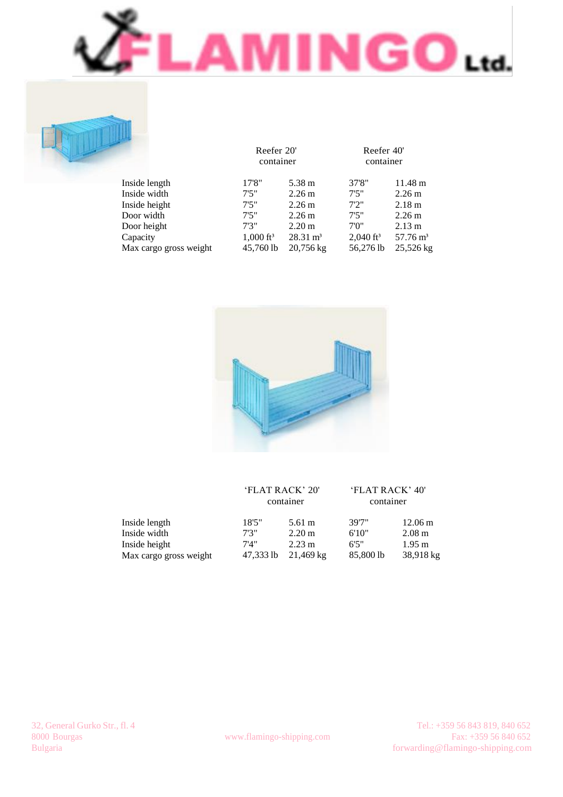

Reefer 40' container

56,276 lb 25,526 kg

11.48 m 2.26 m 2.18 m 2.26 m 2.13 m  $57.76 \text{ m}^3$ 





45,760 lb 20,756 kg

|                        | 'FLAT RACK' 20"<br>container |                  | 'FLAT RACK' 40'<br>container |                   |
|------------------------|------------------------------|------------------|------------------------------|-------------------|
| Inside length          | 18'5''                       | 5.61 m           | 39'7"                        | $12.06 \text{ m}$ |
| Inside width           | 7'3''                        | $2.20 \text{ m}$ | 6'10"                        | $2.08 \text{ m}$  |
| Inside height          | 7'4''                        | $2.23 \text{ m}$ | 6'5''                        | $1.95 \text{ m}$  |
| Max cargo gross weight | 47,333 lb                    | $21,469$ kg      | 85,800 lb                    | 38,918 kg         |